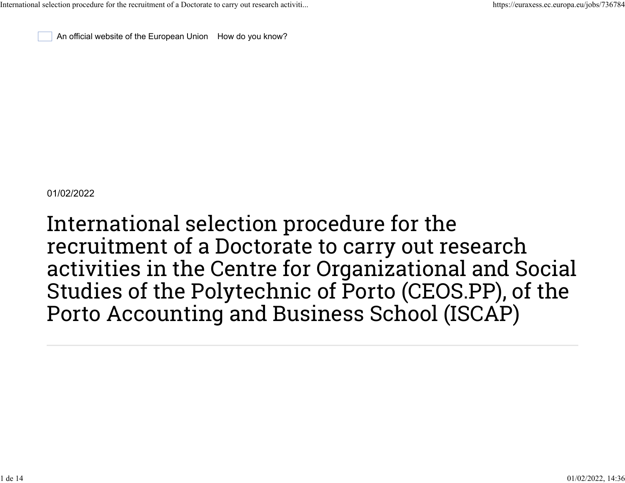An official website of the European Union [How do you know?](https://euraxess.ec.europa.eu/jobs/736784#globan-dropdown-xcy1peqsu6)

01/02/2022

International selection procedure for the recruitment of a Doctorate to carry out research activities in the Centre for Organizational and Social Studies of the Polytechnic of Porto (CEOS.PP), of the Porto Accounting and Business School (ISCAP)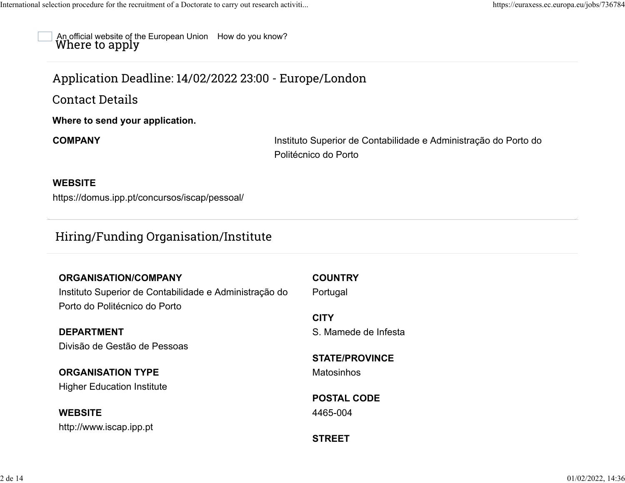An official website of the European Union [How do you know?](https://euraxess.ec.europa.eu/jobs/736784#globan-dropdown-xcy1peqsu6) Where to apply

# Application Deadline: 14/02/2022 23:00 - Europe/London

Contact Details

**Where to send your application.**

**COMPANY** Instituto Superior de Contabilidade e Administração do Porto do Politécnico do Porto

#### **WEBSITE**

<https://domus.ipp.pt/concursos/iscap/pessoal/>

## Hiring/Funding Organisation/Institute

| <b>ORGANISATION/COMPANY</b>                            | <b>COUNTRY</b>        |
|--------------------------------------------------------|-----------------------|
| Instituto Superior de Contabilidade e Administração do | Portugal              |
| Porto do Politécnico do Porto                          |                       |
|                                                        | <b>CITY</b>           |
| <b>DEPARTMENT</b>                                      | S. Mamede de Infesta  |
| Divisão de Gestão de Pessoas                           |                       |
|                                                        | <b>STATE/PROVINCE</b> |
| <b>ORGANISATION TYPE</b>                               | Matosinhos            |
| <b>Higher Education Institute</b>                      |                       |
|                                                        | <b>POSTAL CODE</b>    |
| <b>WEBSITE</b>                                         | 4465-004              |
| http://www.iscap.ipp.pt                                |                       |
|                                                        | <b>STREET</b>         |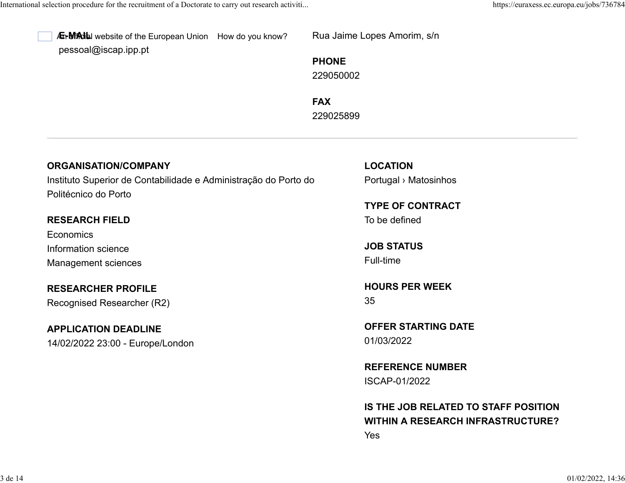

A<sub>L</sub> MAIL website of the European Union [How do you know?](https://euraxess.ec.europa.eu/jobs/736784#globan-dropdown-xcy1peqsu6) [pessoal@iscap.ipp.pt](mailto:pessoal@iscap.ipp.pt)

Rua Jaime Lopes Amorim, s/n

**PHONE** 229050002

**FAX** 229025899

## **ORGANISATION/COMPANY**

Instituto Superior de Contabilidade e Administração do Porto do Politécnico do Porto

### **RESEARCH FIELD**

**Economics** Information science Management sciences

**RESEARCHER PROFILE** Recognised Researcher (R2)

## **APPLICATION DEADLINE** 14/02/2022 23:00 - Europe/London

**LOCATION** Portugal › Matosinhos

**TYPE OF CONTRACT** To be defined

**JOB STATUS** Full-time

**HOURS PER WEEK** 35

**OFFER STARTING DATE** 01/03/2022

**REFERENCE NUMBER** ISCAP-01/2022

**IS THE JOB RELATED TO STAFF POSITION WITHIN A RESEARCH INFRASTRUCTURE?** Yes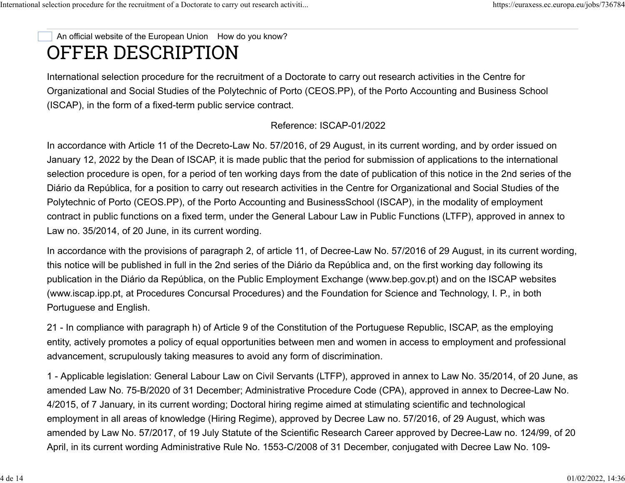# OFFER DESCRIPTION An official website of the European Union [How do you know?](https://euraxess.ec.europa.eu/jobs/736784#globan-dropdown-xcy1peqsu6)

International selection procedure for the recruitment of a Doctorate to carry out research activities in the Centre for Organizational and Social Studies of the Polytechnic of Porto (CEOS.PP), of the Porto Accounting and Business School (ISCAP), in the form of a fixed-term public service contract.

#### Reference: ISCAP-01/2022

In accordance with Article 11 of the Decreto-Law No. 57/2016, of 29 August, in its current wording, and by order issued on January 12, 2022 by the Dean of ISCAP, it is made public that the period for submission of applications to the international selection procedure is open, for a period of ten working days from the date of publication of this notice in the 2nd series of the Diário da República, for a position to carry out research activities in the Centre for Organizational and Social Studies of the Polytechnic of Porto (CEOS.PP), of the Porto Accounting and BusinessSchool (ISCAP), in the modality of employment contract in public functions on a fixed term, under the General Labour Law in Public Functions (LTFP), approved in annex to Law no. 35/2014, of 20 June, in its current wording.

In accordance with the provisions of paragraph 2, of article 11, of Decree-Law No. 57/2016 of 29 August, in its current wording, this notice will be published in full in the 2nd series of the Diário da República and, on the first working day following its publication in the Diário da República, on the Public Employment Exchange [\(www.bep.gov.pt\)](http://www.bep.gov.pt/) and on the ISCAP websites [\(www.iscap.ipp.pt,](http://www.iscap.ipp.pt/) at Procedures Concursal Procedures) and the Foundation for Science and Technology, I. P., in both Portuguese and English.

21 - In compliance with paragraph h) of Article 9 of the Constitution of the Portuguese Republic, ISCAP, as the employing entity, actively promotes a policy of equal opportunities between men and women in access to employment and professional advancement, scrupulously taking measures to avoid any form of discrimination.

1 - Applicable legislation: General Labour Law on Civil Servants (LTFP), approved in annex to Law No. 35/2014, of 20 June, as amended Law No. 75-B/2020 of 31 December; Administrative Procedure Code (CPA), approved in annex to Decree-Law No. 4/2015, of 7 January, in its current wording; Doctoral hiring regime aimed at stimulating scientific and technological employment in all areas of knowledge (Hiring Regime), approved by Decree Law no. 57/2016, of 29 August, which was amended by Law No. 57/2017, of 19 July Statute of the Scientific Research Career approved by Decree-Law no. 124/99, of 20 April, in its current wording Administrative Rule No. 1553-C/2008 of 31 December, conjugated with Decree Law No. 109-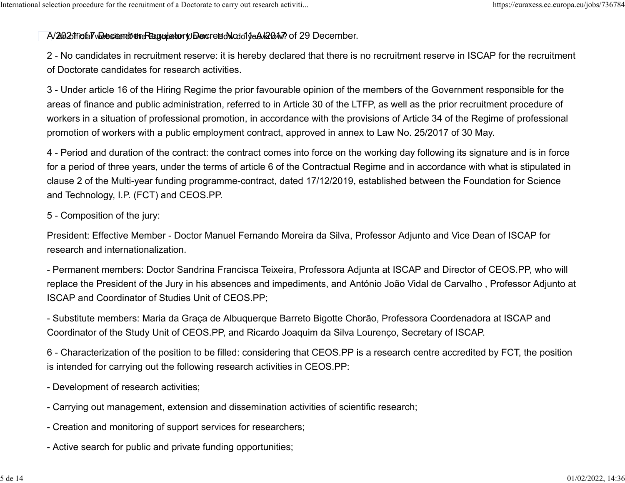#### A/2002 tfi**ota7v2esændt@reRegulatory Dec**reedNodo1 jeA/200M? of 29 December.

2 - No candidates in recruitment reserve: it is hereby declared that there is no recruitment reserve in ISCAP for the recruitment of Doctorate candidates for research activities.

3 - Under article 16 of the Hiring Regime the prior favourable opinion of the members of the Government responsible for the areas of finance and public administration, referred to in Article 30 of the LTFP, as well as the prior recruitment procedure of workers in a situation of professional promotion, in accordance with the provisions of Article 34 of the Regime of professional promotion of workers with a public employment contract, approved in annex to Law No. 25/2017 of 30 May.

4 - Period and duration of the contract: the contract comes into force on the working day following its signature and is in force for a period of three years, under the terms of article 6 of the Contractual Regime and in accordance with what is stipulated in clause 2 of the Multi-year funding programme-contract, dated 17/12/2019, established between the Foundation for Science and Technology, I.P. (FCT) and CEOS.PP.

#### 5 - Composition of the jury:

President: Effective Member - Doctor Manuel Fernando Moreira da Silva, Professor Adjunto and Vice Dean of ISCAP for research and internationalization.

- Permanent members: Doctor Sandrina Francisca Teixeira, Professora Adjunta at ISCAP and Director of CEOS.PP, who will replace the President of the Jury in his absences and impediments, and António João Vidal de Carvalho , Professor Adjunto at ISCAP and Coordinator of Studies Unit of CEOS.PP;

- Substitute members: Maria da Graça de Albuquerque Barreto Bigotte Chorão, Professora Coordenadora at ISCAP and Coordinator of the Study Unit of CEOS.PP, and Ricardo Joaquim da Silva Lourenço, Secretary of ISCAP.

6 - Characterization of the position to be filled: considering that CEOS.PP is a research centre accredited by FCT, the position is intended for carrying out the following research activities in CEOS.PP:

- Development of research activities;

- Carrying out management, extension and dissemination activities of scientific research;
- Creation and monitoring of support services for researchers;
- Active search for public and private funding opportunities;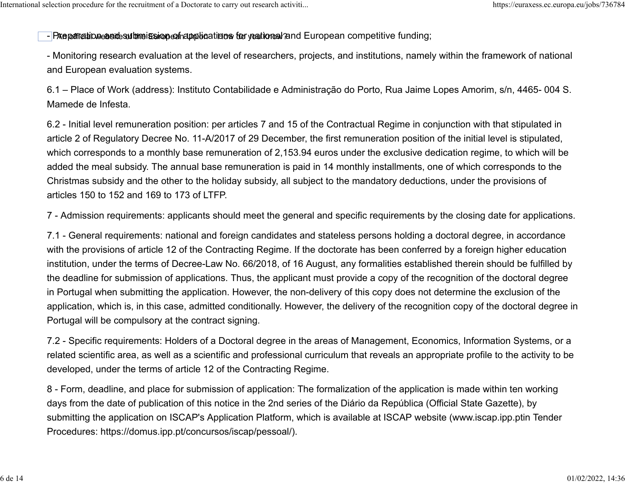#### - PA apertration and the ission of applications for you to be independent competitive funding;

- Monitoring research evaluation at the level of researchers, projects, and institutions, namely within the framework of national and European evaluation systems.

6.1 – Place of Work (address): Instituto Contabilidade e Administração do Porto, Rua Jaime Lopes Amorim, s/n, 4465- 004 S. Mamede de Infesta.

6.2 - Initial level remuneration position: per articles 7 and 15 of the Contractual Regime in conjunction with that stipulated in article 2 of Regulatory Decree No. 11-A/2017 of 29 December, the first remuneration position of the initial level is stipulated, which corresponds to a monthly base remuneration of 2,153.94 euros under the exclusive dedication regime, to which will be added the meal subsidy. The annual base remuneration is paid in 14 monthly installments, one of which corresponds to the Christmas subsidy and the other to the holiday subsidy, all subject to the mandatory deductions, under the provisions of articles 150 to 152 and 169 to 173 of LTFP.

7 - Admission requirements: applicants should meet the general and specific requirements by the closing date for applications.

7.1 - General requirements: national and foreign candidates and stateless persons holding a doctoral degree, in accordance with the provisions of article 12 of the Contracting Regime. If the doctorate has been conferred by a foreign higher education institution, under the terms of Decree-Law No. 66/2018, of 16 August, any formalities established therein should be fulfilled by the deadline for submission of applications. Thus, the applicant must provide a copy of the recognition of the doctoral degree in Portugal when submitting the application. However, the non-delivery of this copy does not determine the exclusion of the application, which is, in this case, admitted conditionally. However, the delivery of the recognition copy of the doctoral degree in Portugal will be compulsory at the contract signing.

7.2 - Specific requirements: Holders of a Doctoral degree in the areas of Management, Economics, Information Systems, or a related scientific area, as well as a scientific and professional curriculum that reveals an appropriate profile to the activity to be developed, under the terms of article 12 of the Contracting Regime.

8 - Form, deadline, and place for submission of application: The formalization of the application is made within ten working days from the date of publication of this notice in the 2nd series of the Diário da República (Official State Gazette), by submitting the application on ISCAP's Application Platform, which is available at ISCAP website ([www.iscap.ipp.ptin](http://www.iscap.ipp.ptin/) Tender Procedures: [https://domus.ipp.pt/concursos/iscap/pessoal/\)](https://domus.ipp.pt/concursos/iscap/pessoal/).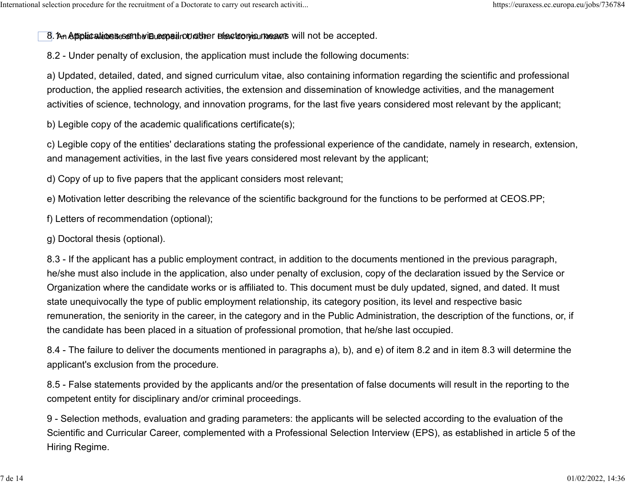8. An **Affiplications resent via copeil rount the relectronic means** will not be accepted.

8.2 - Under penalty of exclusion, the application must include the following documents:

a) Updated, detailed, dated, and signed curriculum vitae, also containing information regarding the scientific and professional production, the applied research activities, the extension and dissemination of knowledge activities, and the management activities of science, technology, and innovation programs, for the last five years considered most relevant by the applicant;

b) Legible copy of the academic qualifications certificate(s);

c) Legible copy of the entities' declarations stating the professional experience of the candidate, namely in research, extension, and management activities, in the last five years considered most relevant by the applicant;

d) Copy of up to five papers that the applicant considers most relevant;

e) Motivation letter describing the relevance of the scientific background for the functions to be performed at CEOS.PP;

f) Letters of recommendation (optional);

g) Doctoral thesis (optional).

8.3 - If the applicant has a public employment contract, in addition to the documents mentioned in the previous paragraph, he/she must also include in the application, also under penalty of exclusion, copy of the declaration issued by the Service or Organization where the candidate works or is affiliated to. This document must be duly updated, signed, and dated. It must state unequivocally the type of public employment relationship, its category position, its level and respective basic remuneration, the seniority in the career, in the category and in the Public Administration, the description of the functions, or, if the candidate has been placed in a situation of professional promotion, that he/she last occupied.

8.4 - The failure to deliver the documents mentioned in paragraphs a), b), and e) of item 8.2 and in item 8.3 will determine the applicant's exclusion from the procedure.

8.5 - False statements provided by the applicants and/or the presentation of false documents will result in the reporting to the competent entity for disciplinary and/or criminal proceedings.

9 - Selection methods, evaluation and grading parameters: the applicants will be selected according to the evaluation of the Scientific and Curricular Career, complemented with a Professional Selection Interview (EPS), as established in article 5 of the Hiring Regime.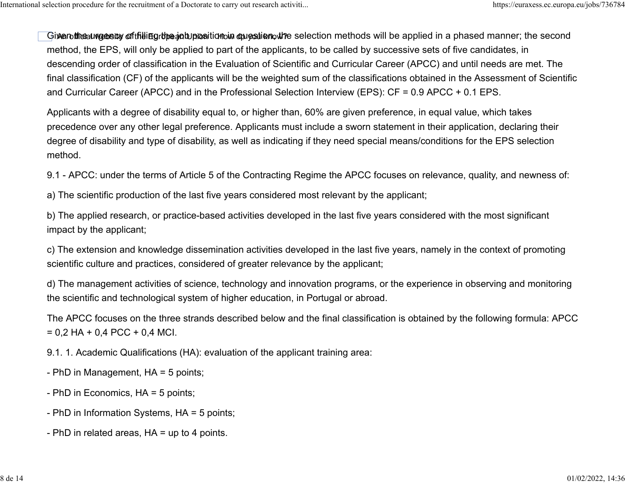Gi**xenthe**auv**gesry oftfilling the job position in question, th**e selection methods will be applied in a phased manner; the second method, the EPS, will only be applied to part of the applicants, to be called by successive sets of five candidates, in descending order of classification in the Evaluation of Scientific and Curricular Career (APCC) and until needs are met. The final classification (CF) of the applicants will be the weighted sum of the classifications obtained in the Assessment of Scientific and Curricular Career (APCC) and in the Professional Selection Interview (EPS): CF = 0.9 APCC + 0.1 EPS.

Applicants with a degree of disability equal to, or higher than, 60% are given preference, in equal value, which takes precedence over any other legal preference. Applicants must include a sworn statement in their application, declaring their degree of disability and type of disability, as well as indicating if they need special means/conditions for the EPS selection method.

9.1 - APCC: under the terms of Article 5 of the Contracting Regime the APCC focuses on relevance, quality, and newness of:

a) The scientific production of the last five years considered most relevant by the applicant;

b) The applied research, or practice-based activities developed in the last five years considered with the most significant impact by the applicant;

c) The extension and knowledge dissemination activities developed in the last five years, namely in the context of promoting scientific culture and practices, considered of greater relevance by the applicant;

d) The management activities of science, technology and innovation programs, or the experience in observing and monitoring the scientific and technological system of higher education, in Portugal or abroad.

The APCC focuses on the three strands described below and the final classification is obtained by the following formula: APCC  $= 0.2$  HA + 0,4 PCC + 0,4 MCI.

9.1. 1. Academic Qualifications (HA): evaluation of the applicant training area:

- PhD in Management, HA = 5 points;
- PhD in Economics, HA = 5 points;
- PhD in Information Systems, HA = 5 points;
- PhD in related areas, HA = up to 4 points.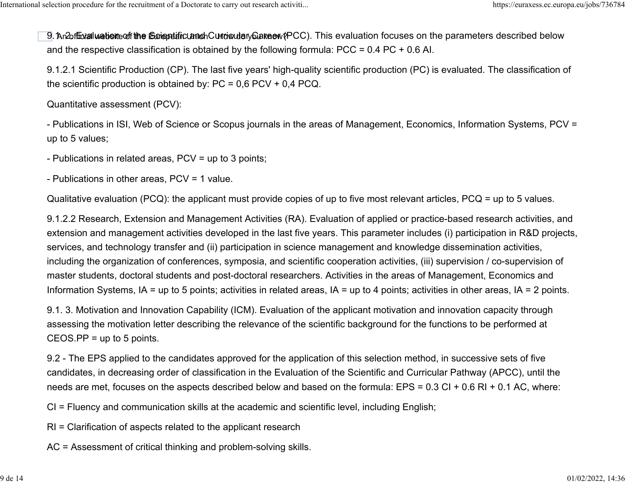9 An2of<del>ն</del>val**uetion**eoff**the S**oriopetaric Land Cundorulary6 akeew(PCC). This evaluation focuses on the parameters described below and the respective classification is obtained by the following formula: PCC = 0.4 PC + 0.6 AI.

9.1.2.1 Scientific Production (CP). The last five years' high-quality scientific production (PC) is evaluated. The classification of the scientific production is obtained by: PC = 0,6 PCV + 0,4 PCQ.

Quantitative assessment (PCV):

- Publications in ISI, Web of Science or Scopus journals in the areas of Management, Economics, Information Systems, PCV = up to 5 values;

- Publications in related areas, PCV = up to 3 points;

- Publications in other areas, PCV = 1 value.

Qualitative evaluation (PCQ): the applicant must provide copies of up to five most relevant articles, PCQ = up to 5 values.

9.1.2.2 Research, Extension and Management Activities (RA). Evaluation of applied or practice-based research activities, and extension and management activities developed in the last five years. This parameter includes (i) participation in R&D projects, services, and technology transfer and (ii) participation in science management and knowledge dissemination activities, including the organization of conferences, symposia, and scientific cooperation activities, (iii) supervision / co-supervision of master students, doctoral students and post-doctoral researchers. Activities in the areas of Management, Economics and Information Systems, IA = up to 5 points; activities in related areas, IA = up to 4 points; activities in other areas, IA = 2 points.

9.1. 3. Motivation and Innovation Capability (ICM). Evaluation of the applicant motivation and innovation capacity through assessing the motivation letter describing the relevance of the scientific background for the functions to be performed at  $CEOS.PP = up to 5 points.$ 

9.2 - The EPS applied to the candidates approved for the application of this selection method, in successive sets of five candidates, in decreasing order of classification in the Evaluation of the Scientific and Curricular Pathway (APCC), until the needs are met, focuses on the aspects described below and based on the formula: EPS = 0.3 CI + 0.6 RI + 0.1 AC, where:

CI = Fluency and communication skills at the academic and scientific level, including English;

RI = Clarification of aspects related to the applicant research

AC = Assessment of critical thinking and problem-solving skills.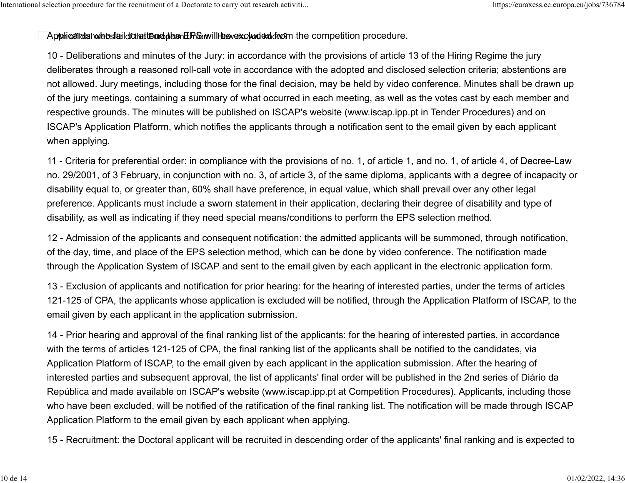#### $\Delta$ pphicantal website idcuatten d $t$ ben E $R$ b will how excluded from the competition procedure.

10 - Deliberations and minutes of the Jury: in accordance with the provisions of article 13 of the Hiring Regime the jury deliberates through a reasoned roll-call vote in accordance with the adopted and disclosed selection criteria; abstentions are not allowed. Jury meetings, including those for the final decision, may be held by video conference. Minutes shall be drawn up of the jury meetings, containing a summary of what occurred in each meeting, as well as the votes cast by each member and respective grounds. The minutes will be published on ISCAP's website [\(www.iscap.ipp.pt](http://www.iscap.ipp.pt/) in Tender Procedures) and on ISCAP's Application Platform, which notifies the applicants through a notification sent to the email given by each applicant when applying.

11 - Criteria for preferential order: in compliance with the provisions of no. 1, of article 1, and no. 1, of article 4, of Decree-Law no. 29/2001, of 3 February, in conjunction with no. 3, of article 3, of the same diploma, applicants with a degree of incapacity or disability equal to, or greater than, 60% shall have preference, in equal value, which shall prevail over any other legal preference. Applicants must include a sworn statement in their application, declaring their degree of disability and type of disability, as well as indicating if they need special means/conditions to perform the EPS selection method.

12 - Admission of the applicants and consequent notification: the admitted applicants will be summoned, through notification, of the day, time, and place of the EPS selection method, which can be done by video conference. The notification made through the Application System of ISCAP and sent to the email given by each applicant in the electronic application form.

13 - Exclusion of applicants and notification for prior hearing: for the hearing of interested parties, under the terms of articles 121-125 of CPA, the applicants whose application is excluded will be notified, through the Application Platform of ISCAP, to the email given by each applicant in the application submission.

14 - Prior hearing and approval of the final ranking list of the applicants: for the hearing of interested parties, in accordance with the terms of articles 121-125 of CPA, the final ranking list of the applicants shall be notified to the candidates, via Application Platform of ISCAP, to the email given by each applicant in the application submission. After the hearing of interested parties and subsequent approval, the list of applicants' final order will be published in the 2nd series of Diário da República and made available on ISCAP's website [\(www.iscap.ipp.pt](http://www.iscap.ipp.pt/) at Competition Procedures). Applicants, including those who have been excluded, will be notified of the ratification of the final ranking list. The notification will be made through ISCAP Application Platform to the email given by each applicant when applying.

15 - Recruitment: the Doctoral applicant will be recruited in descending order of the applicants' final ranking and is expected to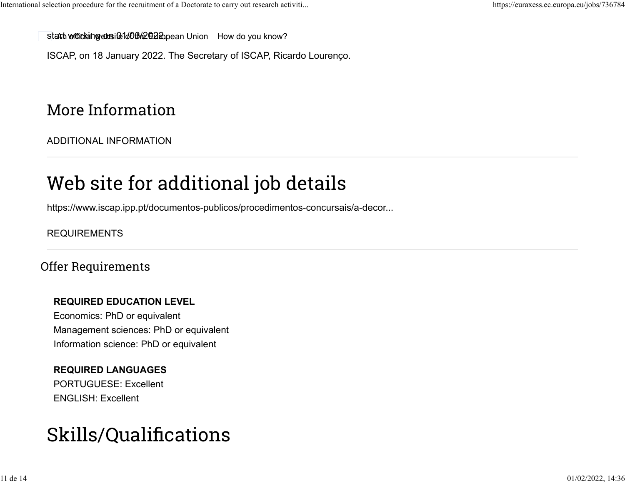stant who tkaing we intelled by European Union [How do you know?](https://euraxess.ec.europa.eu/jobs/736784#globan-dropdown-xcy1peqsu6)

ISCAP, on 18 January 2022. The Secretary of ISCAP, Ricardo Lourenço.

# More Information

[ADDITIONAL INFORMATION](https://euraxess.ec.europa.eu/jobs/736784#bootstrap-fieldgroup-accordion-item--additional-information-0)

# Web site for additional job details

[https://www.iscap.ipp.pt/documentos-publicos/procedimentos-concursais/a-decor...](https://www.iscap.ipp.pt/documentos-publicos/procedimentos-concursais/a-decorrer/a-decorrer)

## [REQUIREMENTS](https://euraxess.ec.europa.eu/jobs/736784#bootstrap-fieldgroup-accordion-item--requirements-1)

## Offer Requirements

## **REQUIRED EDUCATION LEVEL**

Economics: PhD or equivalent Management sciences: PhD or equivalent Information science: PhD or equivalent

## **REQUIRED LANGUAGES**

PORTUGUESE: Excellent ENGLISH: Excellent

# Skills/Qualifications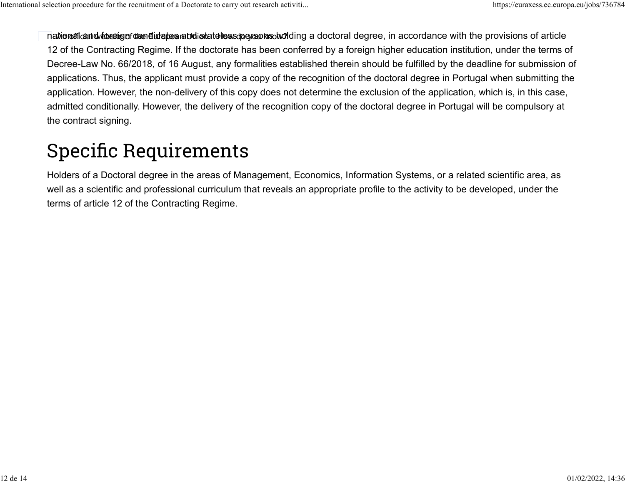na**tional and formed of the Europe**an **distateles coers ons do** ding a doctoral degree, in accordance with the provisions of article 12 of the Contracting Regime. If the doctorate has been conferred by a foreign higher education institution, under the terms of Decree-Law No. 66/2018, of 16 August, any formalities established therein should be fulfilled by the deadline for submission of applications. Thus, the applicant must provide a copy of the recognition of the doctoral degree in Portugal when submitting the application. However, the non-delivery of this copy does not determine the exclusion of the application, which is, in this case, admitted conditionally. However, the delivery of the recognition copy of the doctoral degree in Portugal will be compulsory at the contract signing.

# Specific Requirements

Holders of a Doctoral degree in the areas of Management, Economics, Information Systems, or a related scientific area, as well as a scientific and professional curriculum that reveals an appropriate profile to the activity to be developed, under the terms of article 12 of the Contracting Regime.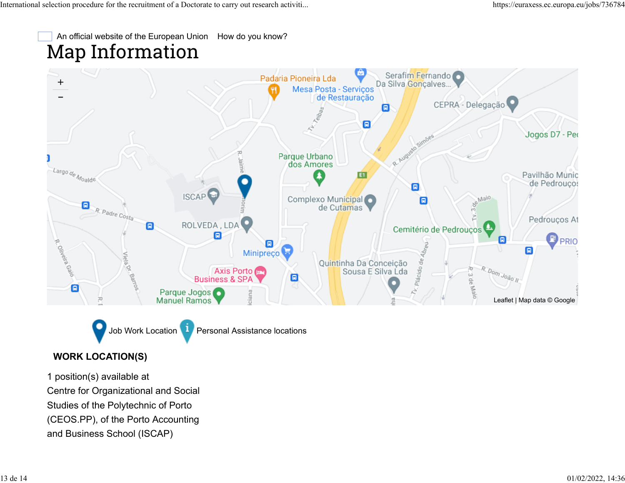Map Information An official website of the European Union [How do you know?](https://euraxess.ec.europa.eu/jobs/736784#globan-dropdown-xcy1peqsu6)



Job Work Location **Paradicipal Assistance locations** 

#### **WORK LOCATION(S)**

1 position(s) available at Centre for Organizational and Social Studies of the Polytechnic of Porto (CEOS.PP), of the Porto Accounting and Business School (ISCAP)